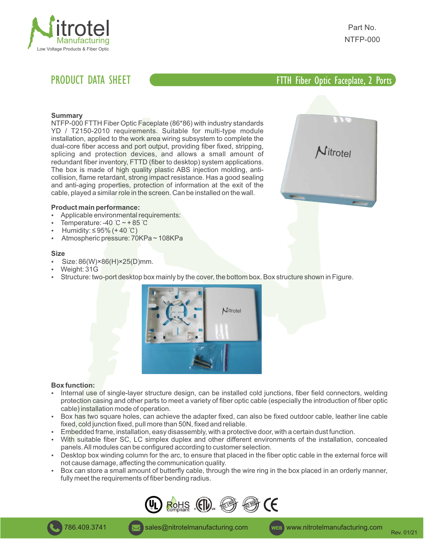

# PRODUCT DATA SHEET **All dielectric self-supporting and actual cable 12 FTTH Fiber Optic Faceplate, 2 Ports**

itrotel

# **Summary**

NTFP-000 FTTH Fiber Optic Faceplate (86\*86) with industry standards YD / T2150-2010 requirements. Suitable for multi-type module installation, applied to the work area wiring subsystem to complete the dual-core fiber access and port output, providing fiber fixed, stripping, splicing and protection devices, and allows a small amount of redundant fiber inventory, FTTD (fiber to desktop) system applications. The box is made of high quality plastic ABS injection molding, anticollision, flame retardant, strong impact resistance. Has a good sealing and anti-aging properties, protection of information at the exit of the cable, played a similar role in the screen. Can be installed on the wall.



- Applicable environmental requirements:
- Temperature: -40 ℃  $\sim$  + 85 ℃
- Humidity: ≤ 95% (+ 40 °C)
- Atmospheric pressure: 70KPa ~ 108KPa

### **Size**

- Size: 86(W)×86(H)×25(D)mm.
- Weight: 31G
- Structure: two-port desktop box mainly by the cover, the bottom box. Box structure shown in Figure.



# **Box function:**

- Internal use of single-layer structure design, can be installed cold junctions, fiber field connectors, welding protection casing and other parts to meet a variety of fiber optic cable (especially the introduction of fiber optic cable) installation mode of operation.
- Box has two square holes, can achieve the adapter fixed, can also be fixed outdoor cable, leather line cable fixed, cold junction fixed, pull more than 50N, fixed and reliable.
- Embedded frame, installation, easy disassembly, with a protective door, with a certain dust function.
- With suitable fiber SC, LC simplex duplex and other different environments of the installation, concealed panels. All modules can be configured according to customer selection.
- Desktop box winding column for the arc, to ensure that placed in the fiber optic cable in the external force will not cause damage, affecting the communication quality.
- Box can store a small amount of butterfly cable, through the wire ring in the box placed in an orderly manner, fully meet the requirements of fiber bending radius.